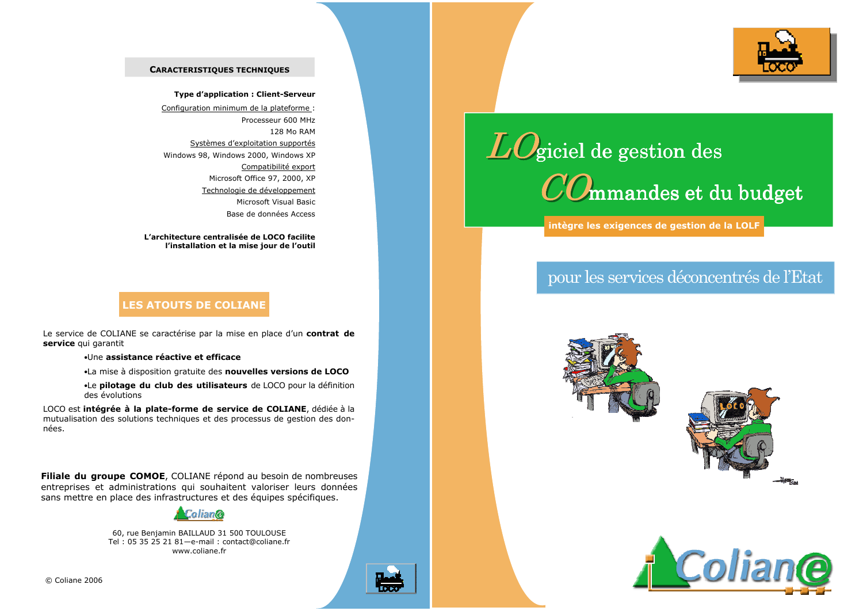#### **CARACTERISTIOUES TECHNIOUES**

#### **Type d'application : Client-Serveur**

Configuration minimum de la plateforme : Processeur 600 MHz 128 Mo RAM Systèmes d'exploitation supportés Windows 98, Windows 2000, Windows XP Compatibilité export Microsoft Office 97, 2000, XP Technologie de développement Microsoft Visual Basic Base de données Access

L'architecture centralisée de LOCO facilite l'installation et la mise jour de l'outil

## **LES ATOUTS DE COLIANE**

Le service de COLIANE se caractérise par la mise en place d'un contrat de service qui garantit

·Une assistance réactive et efficace

. La mise à disposition gratuite des nouvelles versions de LOCO

•Le pilotage du club des utilisateurs de LOCO pour la définition des évolutions

LOCO est intégrée à la plate-forme de service de COLIANE, dédiée à la mutualisation des solutions techniques et des processus de gestion des données.

Filiale du groupe COMOE, COLIANE répond au besoin de nombreuses entreprises et administrations qui souhaitent valoriser leurs données sans mettre en place des infrastructures et des équipes spécifiques.



60, rue Benjamin BAILLAUD 31 500 TOULOUSE Tel: 05 35 25 21 81-e-mail: contact@coliane.fr www.coliane.fr





# pour les services déconcentrés de l'Etat





# intègre les exigences de gestion de la LOLF